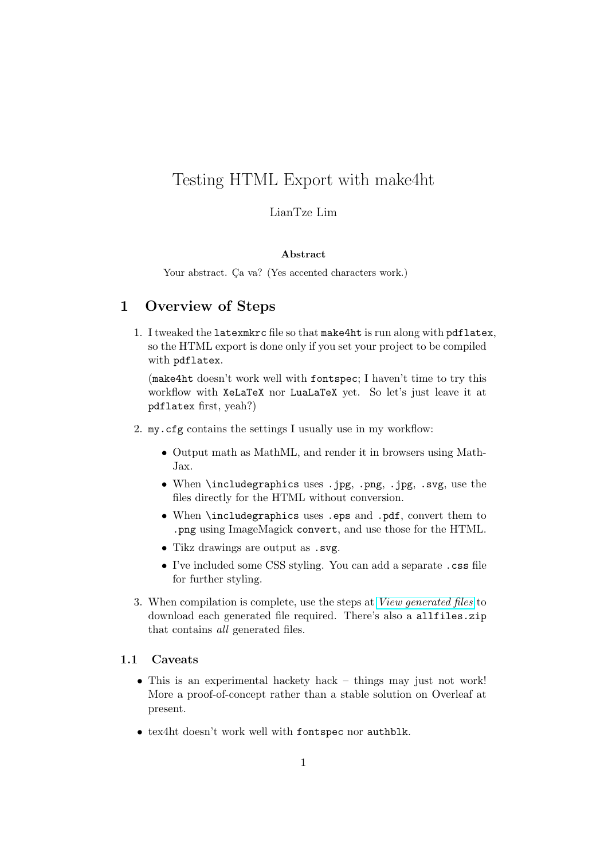# Testing HTML Export with make4ht

#### LianTze Lim

#### Abstract

Your abstract. Ca va? (Yes accented characters work.)

### 1 Overview of Steps

1. I tweaked the latexmkrc file so that make4ht is run along with pdflatex, so the HTML export is done only if you set your project to be compiled with pdflatex.

(make4ht doesn't work well with fontspec; I haven't time to try this workflow with XeLaTeX nor LuaLaTeX yet. So let's just leave it at pdflatex first, yeah?)

- 2. my.cfg contains the settings I usually use in my workflow:
	- Output math as MathML, and render it in browsers using Math-Jax.
	- When \includegraphics uses .jpg, .png, .jpg, .svg, use the files directly for the HTML without conversion.
	- When \includegraphics uses .eps and .pdf, convert them to .png using ImageMagick convert, and use those for the HTML.
	- Tikz drawings are output as .svg.
	- I've included some CSS styling. You can add a separate .css file for further styling.
- 3. When compilation is complete, use the steps at [View generated files](https://www.overleaf.com/learn/how-to/View_generated_files) to download each generated file required. There's also a allfiles.zip that contains all generated files.

#### 1.1 Caveats

- This is an experimental hackety hack things may just not work! More a proof-of-concept rather than a stable solution on Overleaf at present.
- tex4ht doesn't work well with fontspec nor authblk.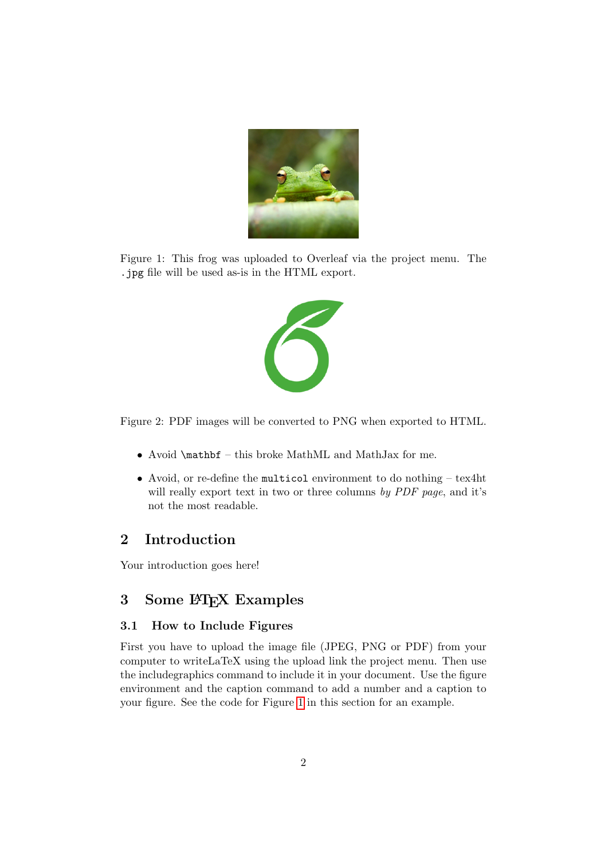

<span id="page-1-0"></span>Figure 1: This frog was uploaded to Overleaf via the project menu. The .jpg file will be used as-is in the HTML export.



Figure 2: PDF images will be converted to PNG when exported to HTML.

- Avoid \mathbf this broke MathML and MathJax for me.
- Avoid, or re-define the multicol environment to do nothing tex4ht will really export text in two or three columns by PDF page, and it's not the most readable.

### 2 Introduction

Your introduction goes here!

## 3 Some LAT<sub>E</sub>X Examples

#### 3.1 How to Include Figures

First you have to upload the image file (JPEG, PNG or PDF) from your computer to writeLaTeX using the upload link the project menu. Then use the includegraphics command to include it in your document. Use the figure environment and the caption command to add a number and a caption to your figure. See the code for Figure [1](#page-1-0) in this section for an example.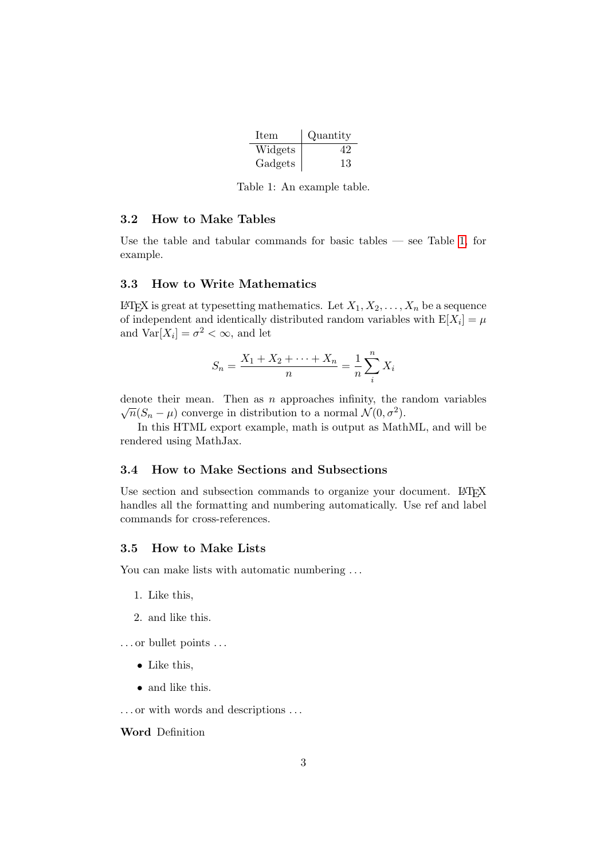| <b>Item</b> | Quantity |
|-------------|----------|
| Widgets     | Δ9       |
| Gadgets     | 13       |

<span id="page-2-0"></span>Table 1: An example table.

#### 3.2 How to Make Tables

Use the table and tabular commands for basic tables — see Table [1,](#page-2-0) for example.

#### 3.3 How to Write Mathematics

LATEX is great at typesetting mathematics. Let  $X_1, X_2, \ldots, X_n$  be a sequence of independent and identically distributed random variables with  $E[X_i] = \mu$ and  $\text{Var}[X_i] = \sigma^2 < \infty$ , and let

$$
S_n = \frac{X_1 + X_2 + \dots + X_n}{n} = \frac{1}{n} \sum_{i=1}^{n} X_i
$$

denote their mean. Then as n approaches infinity, the random variables  $\overline{n}(S_n - \mu)$  converge in distribution to a normal  $\mathcal{N}(0, \sigma^2)$ .

In this HTML export example, math is output as MathML, and will be rendered using MathJax.

#### 3.4 How to Make Sections and Subsections

Use section and subsection commands to organize your document. LAT<sub>EX</sub> handles all the formatting and numbering automatically. Use ref and label commands for cross-references.

#### 3.5 How to Make Lists

You can make lists with automatic numbering ...

- 1. Like this,
- 2. and like this.
- . . . or bullet points . . .
	- Like this,
	- and like this.

. . . or with words and descriptions . . .

Word Definition